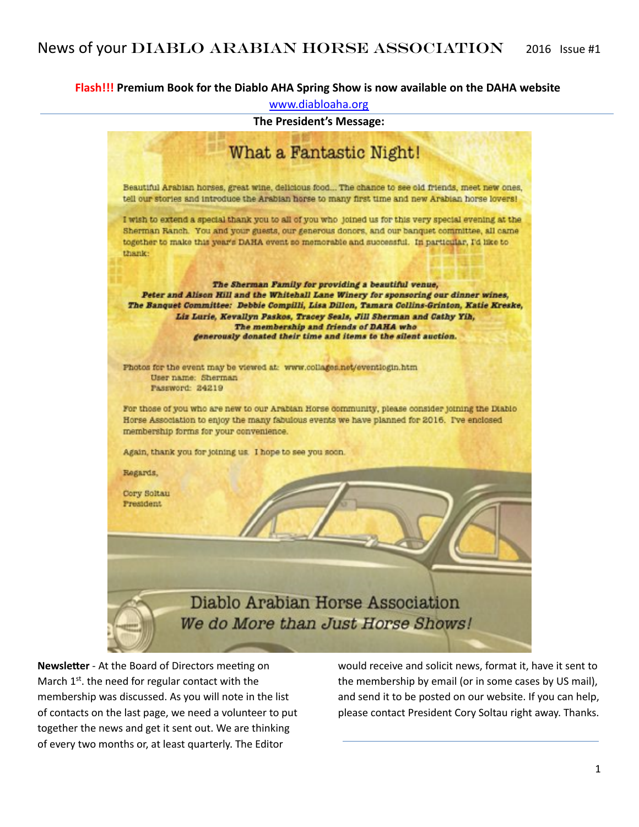#### **Flash!!! Premium Book for the Diablo AHA Spring Show is now available on the DAHA website**

[www.diabloaha.org](http://www.diabloaha.org)



**Newsletter** - At the Board of Directors meeting on March  $1^{st}$ . the need for regular contact with the membership was discussed. As you will note in the list of contacts on the last page, we need a volunteer to put together the news and get it sent out. We are thinking of every two months or, at least quarterly. The Editor

would receive and solicit news, format it, have it sent to the membership by email (or in some cases by US mail), and send it to be posted on our website. If you can help, please contact President Cory Soltau right away. Thanks.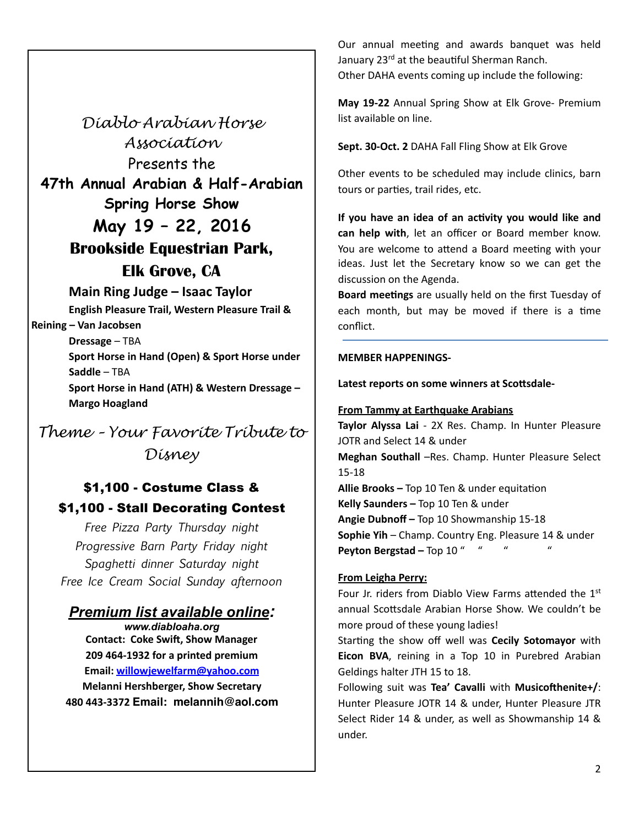*Diablo Arabian Horse Association*  Presents the **47th Annual Arabian & Half-Arabian Spring Horse Show May 19 – 22, 2016 Brookside Equestrian Park, Elk Grove, CA** 

**Main Ring Judge – Isaac Taylor English Pleasure Trail, Western Pleasure Trail &** 

**Reining – Van Jacobsen Dressage** – TBA

**Margo Hoagland** 

**Sport Horse in Hand (Open) & Sport Horse under Saddle** – TBA **Sport Horse in Hand (ATH) & Western Dressage -**

*Theme – Your Favorite Tribute to Disney* 

# \$1,100 - Costume Class &

## \$1,100 - Stall Decorating Contest

*Free Pizza Party Thursday night Progressive Barn Party Friday night Spaghetti dinner Saturday night Free Ice Cream Social Sunday afternoon* 

### *Premium list available online:*

*www.diabloaha.org*  **Contact: Coke Swift, Show Manager 209 464-1932 for a printed premium Email: [willowjewelfarm@yahoo.com](mailto:willowjewelfarm@yahoo.com) Melanni Hershberger, Show Secretary 480 443-3372 Email: melannih@aol.com** Our annual meeting and awards banquet was held January 23<sup>rd</sup> at the beautiful Sherman Ranch. Other DAHA events coming up include the following:

May 19-22 Annual Spring Show at Elk Grove- Premium list available on line.

**Sept. 30-Oct. 2** DAHA Fall Fling Show at Elk Grove

Other events to be scheduled may include clinics, barn tours or parties, trail rides, etc.

If you have an idea of an activity you would like and can help with, let an officer or Board member know. You are welcome to attend a Board meeting with your ideas. Just let the Secretary know so we can get the discussion on the Agenda.

**Board meetings** are usually held on the first Tuesday of each month, but may be moved if there is a time conflict. 

#### **MEMBER HAPPENINGS-**

Latest reports on some winners at Scottsdale-

#### **From Tammy at Earthquake Arabians**

Taylor Alyssa Lai - 2X Res. Champ. In Hunter Pleasure JOTR and Select 14 & under **Meghan Southall** –Res. Champ. Hunter Pleasure Select 15-18 **Allie Brooks - Top 10 Ten & under equitation Kelly Saunders - Top 10 Ten & under Angie Dubnoff - Top 10 Showmanship 15-18 Sophie Yih** – Champ. Country Eng. Pleasure 14 & under

**Peyton Bergstad - Top 10 "** 

### **From Leigha Perry:**

Four Jr. riders from Diablo View Farms attended the  $1<sup>st</sup>$ annual Scottsdale Arabian Horse Show. We couldn't be more proud of these young ladies!

Starting the show off well was **Cecily Sotomayor** with **Eicon BVA**, reining in a Top 10 in Purebred Arabian Geldings halter JTH 15 to 18.

Following suit was Tea' Cavalli with Musicofthenite+/: Hunter Pleasure JOTR 14 & under, Hunter Pleasure JTR Select Rider 14 & under, as well as Showmanship 14 & under.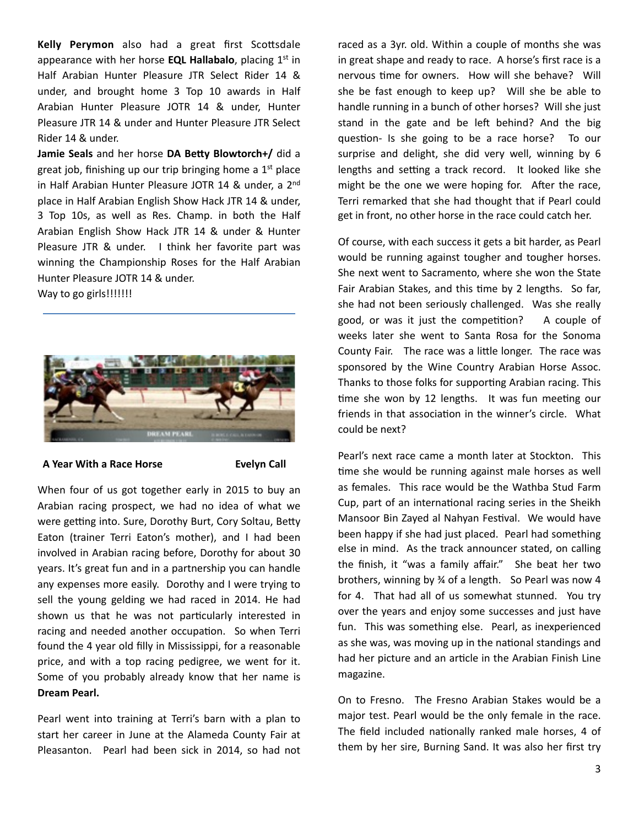**Kelly Perymon** also had a great first Scottsdale appearance with her horse **EQL Hallabalo**, placing 1<sup>st</sup> in Half Arabian Hunter Pleasure JTR Select Rider 14 & under, and brought home 3 Top 10 awards in Half Arabian Hunter Pleasure JOTR 14 & under, Hunter Pleasure JTR 14 & under and Hunter Pleasure JTR Select Rider 14 & under.

**Jamie Seals** and her horse DA Betty Blowtorch+/ did a great job, finishing up our trip bringing home a  $1<sup>st</sup>$  place in Half Arabian Hunter Pleasure JOTR 14 & under, a  $2<sup>nd</sup>$ place in Half Arabian English Show Hack JTR 14 & under, 3 Top 10s, as well as Res. Champ. in both the Half Arabian English Show Hack JTR 14 & under & Hunter Pleasure JTR & under. I think her favorite part was winning the Championship Roses for the Half Arabian Hunter Pleasure JOTR 14 & under.

Way to go girls!!!!!!!!



A Year With a Race Horse **Bureau Call** 

When four of us got together early in 2015 to buy an Arabian racing prospect, we had no idea of what we were getting into. Sure, Dorothy Burt, Cory Soltau, Betty Eaton (trainer Terri Eaton's mother), and I had been involved in Arabian racing before, Dorothy for about 30 years. It's great fun and in a partnership you can handle any expenses more easily. Dorothy and I were trying to sell the young gelding we had raced in 2014. He had shown us that he was not particularly interested in racing and needed another occupation. So when Terri found the 4 year old filly in Mississippi, for a reasonable price, and with a top racing pedigree, we went for it. Some of you probably already know that her name is **Dream Pearl.**

Pearl went into training at Terri's barn with a plan to start her career in June at the Alameda County Fair at Pleasanton. Pearl had been sick in 2014, so had not raced as a 3yr. old. Within a couple of months she was in great shape and ready to race. A horse's first race is a nervous time for owners. How will she behave? Will she be fast enough to keep up? Will she be able to handle running in a bunch of other horses? Will she just stand in the gate and be left behind? And the big question- Is she going to be a race horse? To our surprise and delight, she did very well, winning by 6 lengths and setting a track record. It looked like she might be the one we were hoping for. After the race, Terri remarked that she had thought that if Pearl could get in front, no other horse in the race could catch her.

Of course, with each success it gets a bit harder, as Pearl would be running against tougher and tougher horses. She next went to Sacramento, where she won the State Fair Arabian Stakes, and this time by 2 lengths. So far, she had not been seriously challenged. Was she really good, or was it just the competition? A couple of weeks later she went to Santa Rosa for the Sonoma County Fair. The race was a little longer. The race was sponsored by the Wine Country Arabian Horse Assoc. Thanks to those folks for supporting Arabian racing. This time she won by 12 lengths. It was fun meeting our friends in that association in the winner's circle. What could be next?

Pearl's next race came a month later at Stockton. This time she would be running against male horses as well as females. This race would be the Wathba Stud Farm Cup, part of an international racing series in the Sheikh Mansoor Bin Zayed al Nahyan Festival. We would have been happy if she had just placed. Pearl had something else in mind. As the track announcer stated, on calling the finish, it "was a family affair." She beat her two brothers, winning by  $\frac{3}{4}$  of a length. So Pearl was now 4 for 4. That had all of us somewhat stunned. You try over the years and enjoy some successes and just have fun. This was something else. Pearl, as inexperienced as she was, was moving up in the national standings and had her picture and an article in the Arabian Finish Line magazine. 

On to Fresno. The Fresno Arabian Stakes would be a major test. Pearl would be the only female in the race. The field included nationally ranked male horses, 4 of them by her sire, Burning Sand. It was also her first try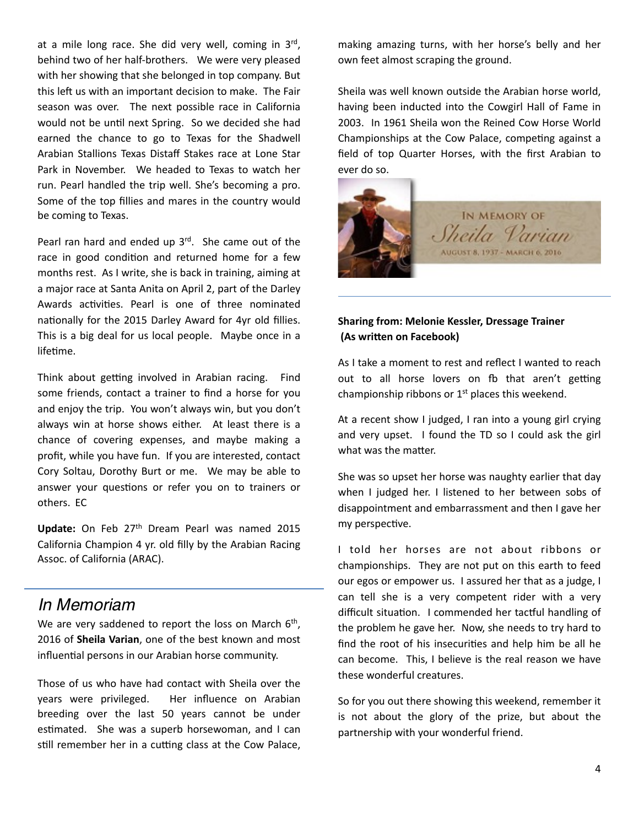at a mile long race. She did very well, coming in  $3^{rd}$ , behind two of her half-brothers. We were very pleased with her showing that she belonged in top company. But this left us with an important decision to make. The Fair season was over. The next possible race in California would not be until next Spring. So we decided she had earned the chance to go to Texas for the Shadwell Arabian Stallions Texas Distaff Stakes race at Lone Star Park in November. We headed to Texas to watch her run. Pearl handled the trip well. She's becoming a pro. Some of the top fillies and mares in the country would be coming to Texas.

Pearl ran hard and ended up  $3<sup>rd</sup>$ . She came out of the race in good condition and returned home for a few months rest. As I write, she is back in training, aiming at a major race at Santa Anita on April 2, part of the Darley Awards activities. Pearl is one of three nominated nationally for the 2015 Darley Award for 4yr old fillies. This is a big deal for us local people. Maybe once in a lifetime.

Think about getting involved in Arabian racing. Find some friends, contact a trainer to find a horse for you and enjoy the trip. You won't always win, but you don't always win at horse shows either. At least there is a chance of covering expenses, and maybe making a profit, while you have fun. If you are interested, contact Cory Soltau, Dorothy Burt or me. We may be able to answer your questions or refer you on to trainers or others. EC

**Update:** On Feb 27<sup>th</sup> Dream Pearl was named 2015 California Champion 4 yr. old filly by the Arabian Racing Assoc. of California (ARAC).

## *In Memoriam*

We are very saddened to report the loss on March  $6<sup>th</sup>$ , 2016 of **Sheila Varian**, one of the best known and most influential persons in our Arabian horse community.

Those of us who have had contact with Sheila over the years were privileged. Her influence on Arabian breeding over the last 50 years cannot be under estimated. She was a superb horsewoman, and I can still remember her in a cutting class at the Cow Palace, making amazing turns, with her horse's belly and her own feet almost scraping the ground.

Sheila was well known outside the Arabian horse world, having been inducted into the Cowgirl Hall of Fame in 2003. In 1961 Sheila won the Reined Cow Horse World Championships at the Cow Palace, competing against a field of top Quarter Horses, with the first Arabian to ever do so.



### **Sharing from: Melonie Kessler, Dressage Trainer (As written on Facebook)**

As I take a moment to rest and reflect I wanted to reach out to all horse lovers on fb that aren't getting championship ribbons or  $1<sup>st</sup>$  places this weekend.

At a recent show I judged, I ran into a young girl crying and very upset. I found the TD so I could ask the girl what was the matter.

She was so upset her horse was naughty earlier that day when I judged her. I listened to her between sobs of disappointment and embarrassment and then I gave her my perspective.

I told her horses are not about ribbons or championships. They are not put on this earth to feed our egos or empower us. I assured her that as a judge, I can tell she is a very competent rider with a very difficult situation. I commended her tactful handling of the problem he gave her. Now, she needs to try hard to find the root of his insecurities and help him be all he can become. This, I believe is the real reason we have these wonderful creatures.

So for you out there showing this weekend, remember it is not about the glory of the prize, but about the partnership with your wonderful friend.